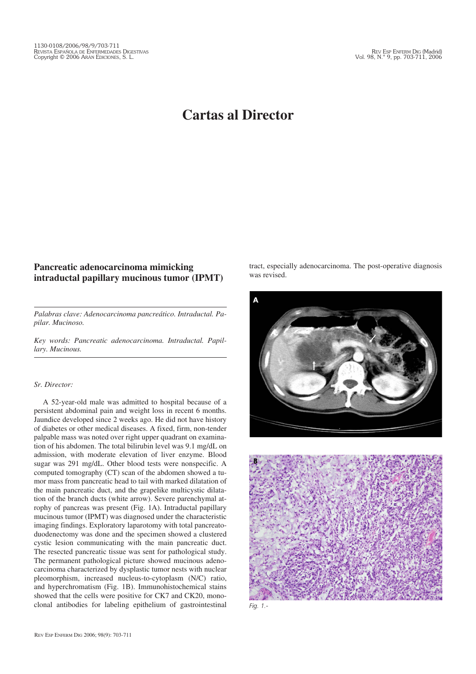## **Cartas al Director**

## **Pancreatic adenocarcinoma mimicking intraductal papillary mucinous tumor (IPMT)**

*Palabras clave: Adenocarcinoma pancreático. Intraductal. Papilar. Mucinoso.*

*Key words: Pancreatic adenocarcinoma. Intraductal. Papillary. Mucinous.*

## *Sr. Director:*

A 52-year-old male was admitted to hospital because of a persistent abdominal pain and weight loss in recent 6 months. Jaundice developed since 2 weeks ago. He did not have history of diabetes or other medical diseases. A fixed, firm, non-tender palpable mass was noted over right upper quadrant on examination of his abdomen. The total bilirubin level was 9.1 mg/dL on admission, with moderate elevation of liver enzyme. Blood sugar was 291 mg/dL. Other blood tests were nonspecific. A computed tomography (CT) scan of the abdomen showed a tumor mass from pancreatic head to tail with marked dilatation of the main pancreatic duct, and the grapelike multicystic dilatation of the branch ducts (white arrow). Severe parenchymal atrophy of pancreas was present (Fig. 1A). Intraductal papillary mucinous tumor (IPMT) was diagnosed under the characteristic imaging findings. Exploratory laparotomy with total pancreatoduodenectomy was done and the specimen showed a clustered cystic lesion communicating with the main pancreatic duct. The resected pancreatic tissue was sent for pathological study. The permanent pathological picture showed mucinous adenocarcinoma characterized by dysplastic tumor nests with nuclear pleomorphism, increased nucleus-to-cytoplasm (N/C) ratio, and hyperchromatism (Fig. 1B). Immunohistochemical stains showed that the cells were positive for CK7 and CK20, monoclonal antibodies for labeling epithelium of gastrointestinal tract, especially adenocarcinoma. The post-operative diagnosis was revised.